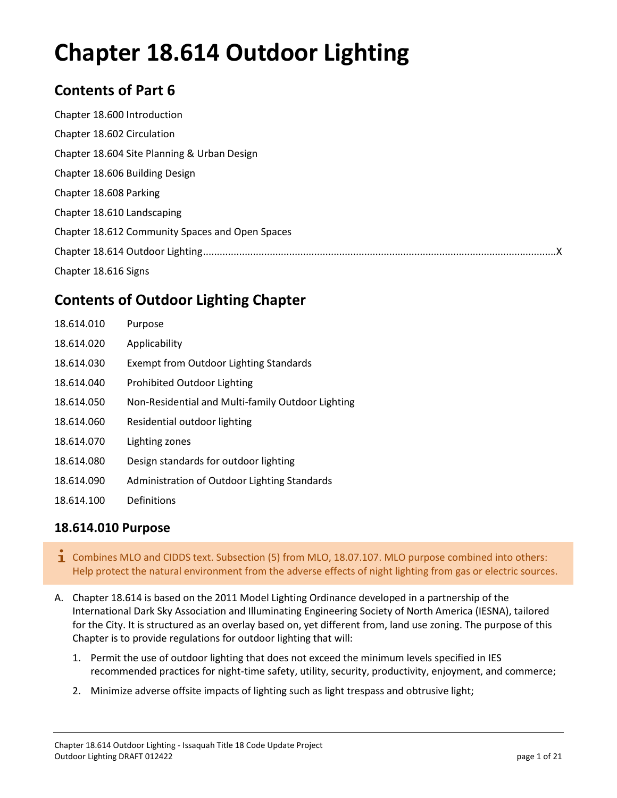# **Chapter 18.614 Outdoor Lighting**

# **Contents of Part 6**

| Chapter 18.600 Introduction                     |  |
|-------------------------------------------------|--|
| Chapter 18.602 Circulation                      |  |
| Chapter 18.604 Site Planning & Urban Design     |  |
| Chapter 18.606 Building Design                  |  |
| Chapter 18.608 Parking                          |  |
| Chapter 18.610 Landscaping                      |  |
| Chapter 18.612 Community Spaces and Open Spaces |  |
|                                                 |  |
| Chapter 18.616 Signs                            |  |

# **Contents of Outdoor Lighting Chapter**

| 18.614.010 | Purpose                                           |
|------------|---------------------------------------------------|
| 18.614.020 | Applicability                                     |
| 18.614.030 | <b>Exempt from Outdoor Lighting Standards</b>     |
| 18.614.040 | Prohibited Outdoor Lighting                       |
| 18.614.050 | Non-Residential and Multi-family Outdoor Lighting |
| 18.614.060 | Residential outdoor lighting                      |
| 18.614.070 | Lighting zones                                    |
| 18.614.080 | Design standards for outdoor lighting             |
| 18.614.090 | Administration of Outdoor Lighting Standards      |
| 18.614.100 | Definitions                                       |

# **18.614.010 Purpose**

- 1 Combines MLO and CIDDS text. Subsection (5) from MLO, 18.07.107. MLO purpose combined into others: Help protect the natural environment from the adverse effects of night lighting from gas or electric sources.
- A. Chapter 18.614 is based on the 2011 Model Lighting Ordinance developed in a partnership of the International Dark Sky Association and Illuminating Engineering Society of North America (IESNA), tailored for the City. It is structured as an overlay based on, yet different from, land use zoning. The purpose of this Chapter is to provide regulations for outdoor lighting that will:
	- 1. Permit the use of outdoor lighting that does not exceed the minimum levels specified in IES recommended practices for night-time safety, utility, security, productivity, enjoyment, and commerce;
	- 2. Minimize adverse offsite impacts of lighting such as light trespass and obtrusive light;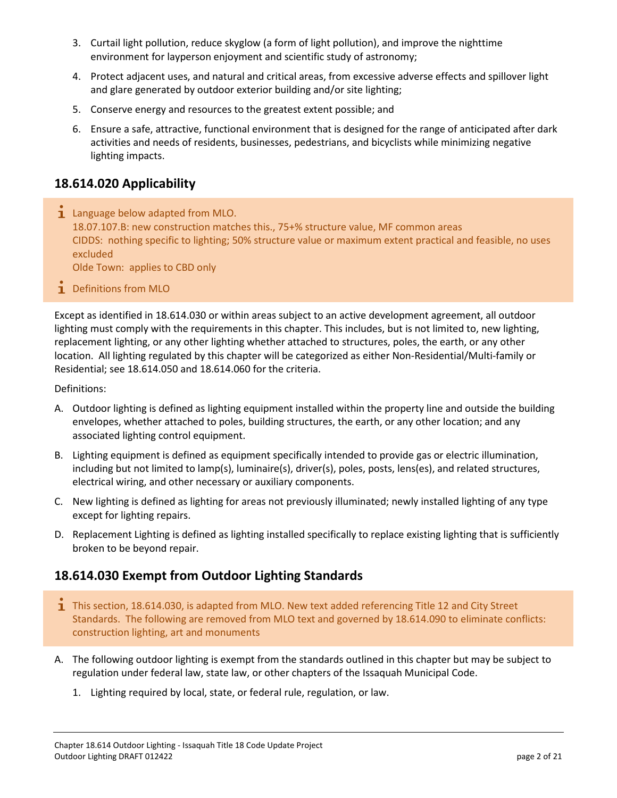- 3. Curtail light pollution, reduce skyglow (a form of light pollution), and improve the nighttime environment for layperson enjoyment and scientific study of astronomy;
- 4. Protect adjacent uses, and natural and critical areas, from excessive adverse effects and spillover light and glare generated by outdoor exterior building and/or site lighting;
- 5. Conserve energy and resources to the greatest extent possible; and
- 6. Ensure a safe, attractive, functional environment that is designed for the range of anticipated after dark activities and needs of residents, businesses, pedestrians, and bicyclists while minimizing negative lighting impacts.

# **18.614.020 Applicability**

 $\mathbf i$  Language below adapted from MLO. 18.07.107.B: new construction matches this., 75+% structure value, MF common areas CIDDS: nothing specific to lighting; 50% structure value or maximum extent practical and feasible, no uses excluded

Olde Town: applies to CBD only

**1** Definitions from MLO

Except as identified in 18.614.030 or within areas subject to an active development agreement, all outdoor lighting must comply with the requirements in this chapter. This includes, but is not limited to, new lighting, replacement lighting, or any other lighting whether attached to structures, poles, the earth, or any other location. All lighting regulated by this chapter will be categorized as either Non-Residential/Multi-family or Residential; see 18.614.050 and 18.614.060 for the criteria.

Definitions:

- A. Outdoor lighting is defined as lighting equipment installed within the property line and outside the building envelopes, whether attached to poles, building structures, the earth, or any other location; and any associated lighting control equipment.
- B. Lighting equipment is defined as equipment specifically intended to provide gas or electric illumination, including but not limited to lamp(s), luminaire(s), driver(s), poles, posts, lens(es), and related structures, electrical wiring, and other necessary or auxiliary components.
- C. New lighting is defined as lighting for areas not previously illuminated; newly installed lighting of any type except for lighting repairs.
- D. Replacement Lighting is defined as lighting installed specifically to replace existing lighting that is sufficiently broken to be beyond repair.

# **18.614.030 Exempt from Outdoor Lighting Standards**

- This section, 18.614.030, is adapted from MLO. New text added referencing Title 12 and City Street Standards. The following are removed from MLO text and governed by 18.614.090 to eliminate conflicts: construction lighting, art and monuments
- A. The following outdoor lighting is exempt from the standards outlined in this chapter but may be subject to regulation under federal law, state law, or other chapters of the Issaquah Municipal Code.
	- 1. Lighting required by local, state, or federal rule, regulation, or law.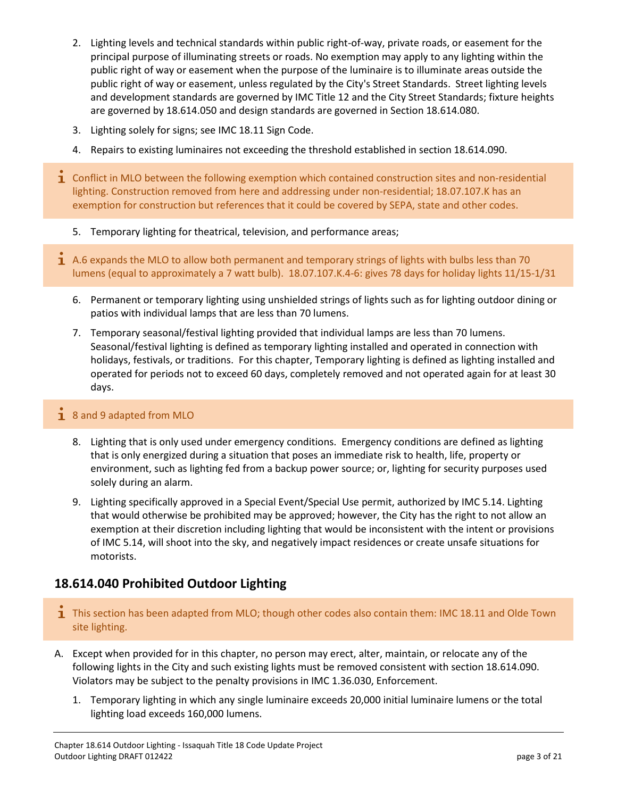- 2. Lighting levels and technical standards within public right-of-way, private roads, or easement for the principal purpose of illuminating streets or roads. No exemption may apply to any lighting within the public right of way or easement when the purpose of the luminaire is to illuminate areas outside the public right of way or easement, unless regulated by the City's Street Standards. Street lighting levels and development standards are governed by IMC Title 12 and the City Street Standards; fixture heights are governed by 18.614.050 and design standards are governed in Section 18.614.080.
- 3. Lighting solely for signs; see IMC 18.11 Sign Code.
- 4. Repairs to existing luminaires not exceeding the threshold established in section 18.614.090.
- **T** Conflict in MLO between the following exemption which contained construction sites and non-residential lighting. Construction removed from here and addressing under non-residential; 18.07.107.K has an exemption for construction but references that it could be covered by SEPA, state and other codes.
	- 5. Temporary lighting for theatrical, television, and performance areas;
- $\mathbf 1$  A.6 expands the MLO to allow both permanent and temporary strings of lights with bulbs less than 70 lumens (equal to approximately a 7 watt bulb). 18.07.107.K.4-6: gives 78 days for holiday lights 11/15-1/31
	- 6. Permanent or temporary lighting using unshielded strings of lights such as for lighting outdoor dining or patios with individual lamps that are less than 70 lumens.
	- 7. Temporary seasonal/festival lighting provided that individual lamps are less than 70 lumens. Seasonal/festival lighting is defined as temporary lighting installed and operated in connection with holidays, festivals, or traditions. For this chapter, Temporary lighting is defined as lighting installed and operated for periods not to exceed 60 days, completely removed and not operated again for at least 30 days.

### $\frac{1}{1}$  8 and 9 adapted from MLO

- 8. Lighting that is only used under emergency conditions. Emergency conditions are defined as lighting that is only energized during a situation that poses an immediate risk to health, life, property or environment, such as lighting fed from a backup power source; or, lighting for security purposes used solely during an alarm.
- 9. Lighting specifically approved in a Special Event/Special Use permit, authorized by IMC 5.14. Lighting that would otherwise be prohibited may be approved; however, the City has the right to not allow an exemption at their discretion including lighting that would be inconsistent with the intent or provisions of IMC 5.14, will shoot into the sky, and negatively impact residences or create unsafe situations for motorists.

# **18.614.040 Prohibited Outdoor Lighting**

- $\overline{1}$  This section has been adapted from MLO; though other codes also contain them: IMC 18.11 and Olde Town site lighting.
- A. Except when provided for in this chapter, no person may erect, alter, maintain, or relocate any of the following lights in the City and such existing lights must be removed consistent with section 18.614.090. Violators may be subject to the penalty provisions in IMC 1.36.030, Enforcement.
	- 1. Temporary lighting in which any single luminaire exceeds 20,000 initial luminaire lumens or the total lighting load exceeds 160,000 lumens.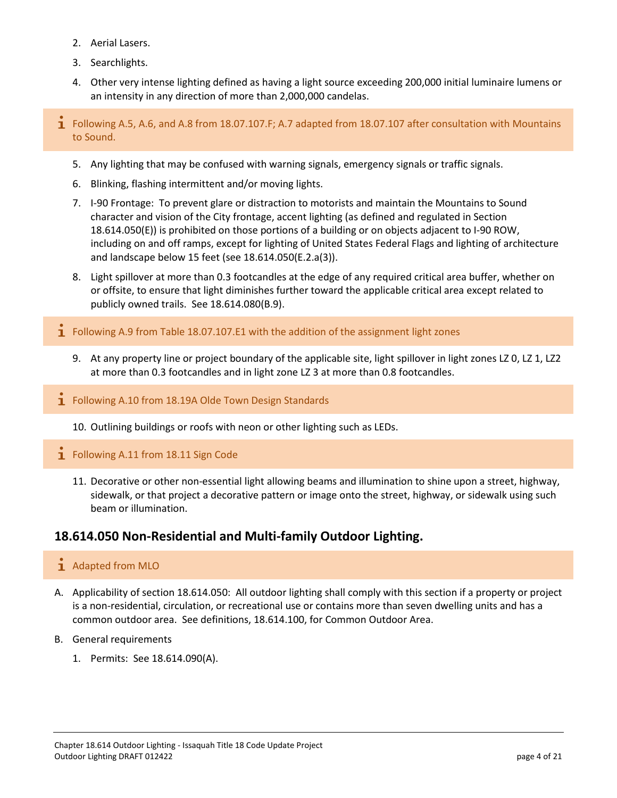- 2. Aerial Lasers.
- 3. Searchlights.
- 4. Other very intense lighting defined as having a light source exceeding 200,000 initial luminaire lumens or an intensity in any direction of more than 2,000,000 candelas.
- **I** Following A.5, A.6, and A.8 from 18.07.107.F; A.7 adapted from 18.07.107 after consultation with Mountains to Sound.
	- 5. Any lighting that may be confused with warning signals, emergency signals or traffic signals.
	- 6. Blinking, flashing intermittent and/or moving lights.
	- 7. I-90 Frontage: To prevent glare or distraction to motorists and maintain the Mountains to Sound character and vision of the City frontage, accent lighting (as defined and regulated in Section 18.614.050(E)) is prohibited on those portions of a building or on objects adjacent to I-90 ROW, including on and off ramps, except for lighting of United States Federal Flags and lighting of architecture and landscape below 15 feet (see 18.614.050(E.2.a(3)).
	- 8. Light spillover at more than 0.3 footcandles at the edge of any required critical area buffer, whether on or offsite, to ensure that light diminishes further toward the applicable critical area except related to publicly owned trails. See 18.614.080(B.9).
- $\mathbf I$  Following A.9 from Table 18.07.107.E1 with the addition of the assignment light zones
	- 9. At any property line or project boundary of the applicable site, light spillover in light zones LZ 0, LZ 1, LZ2 at more than 0.3 footcandles and in light zone LZ 3 at more than 0.8 footcandles.
- **T** Following A.10 from 18.19A Olde Town Design Standards
	- 10. Outlining buildings or roofs with neon or other lighting such as LEDs.
- 1 Following A.11 from 18.11 Sign Code
	- 11. Decorative or other non-essential light allowing beams and illumination to shine upon a street, highway, sidewalk, or that project a decorative pattern or image onto the street, highway, or sidewalk using such beam or illumination.

# **18.614.050 Non-Residential and Multi-family Outdoor Lighting.**

### 1 Adapted from MLO

- A. Applicability of section 18.614.050: All outdoor lighting shall comply with this section if a property or project is a non-residential, circulation, or recreational use or contains more than seven dwelling units and has a common outdoor area. See definitions, 18.614.100, for Common Outdoor Area.
- B. General requirements
	- 1. Permits: See 18.614.090(A).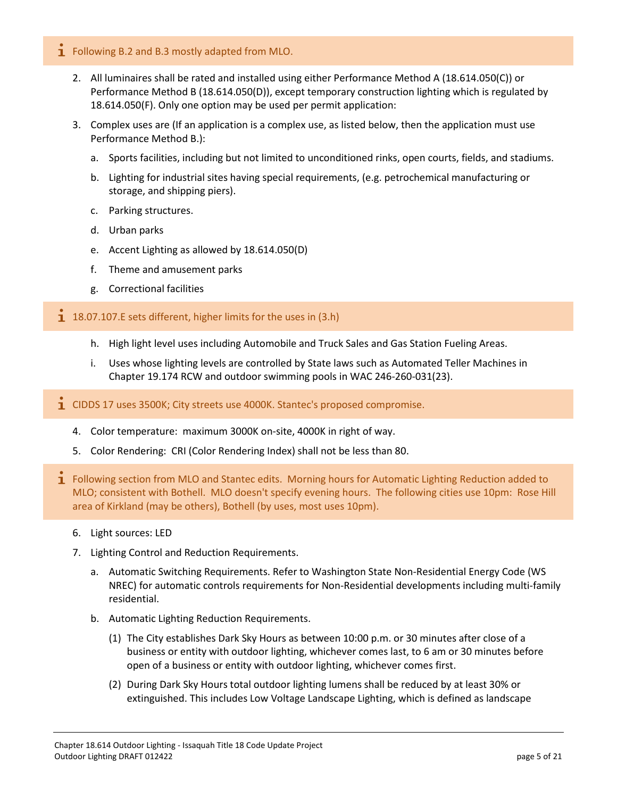- **1** Following B.2 and B.3 mostly adapted from MLO.
	- 2. All luminaires shall be rated and installed using either Performance Method A (18.614.050(C)) or Performance Method B (18.614.050(D)), except temporary construction lighting which is regulated by 18.614.050(F). Only one option may be used per permit application:
	- 3. Complex uses are (If an application is a complex use, as listed below, then the application must use Performance Method B.):
		- a. Sports facilities, including but not limited to unconditioned rinks, open courts, fields, and stadiums.
		- b. Lighting for industrial sites having special requirements, (e.g. petrochemical manufacturing or storage, and shipping piers).
		- c. Parking structures.
		- d. Urban parks
		- e. Accent Lighting as allowed by 18.614.050(D)
		- f. Theme and amusement parks
		- g. Correctional facilities

#### $18.07.107$ . E sets different, higher limits for the uses in (3.h)

- h. High light level uses including Automobile and Truck Sales and Gas Station Fueling Areas.
- i. Uses whose lighting levels are controlled by State laws such as Automated Teller Machines in Chapter 19.174 RCW and outdoor swimming pools in WAC 246-260-031(23).
- $\mathbf{I}$  CIDDS 17 uses 3500K; City streets use 4000K. Stantec's proposed compromise.
	- 4. Color temperature: maximum 3000K on-site, 4000K in right of way.
	- 5. Color Rendering: CRI (Color Rendering Index) shall not be less than 80.
- 1 Following section from MLO and Stantec edits. Morning hours for Automatic Lighting Reduction added to MLO; consistent with Bothell. MLO doesn't specify evening hours. The following cities use 10pm: Rose Hill area of Kirkland (may be others), Bothell (by uses, most uses 10pm).
	- 6. Light sources: LED
	- 7. Lighting Control and Reduction Requirements.
		- a. Automatic Switching Requirements. Refer to Washington State Non-Residential Energy Code (WS NREC) for automatic controls requirements for Non-Residential developments including multi-family residential.
		- b. Automatic Lighting Reduction Requirements.
			- (1) The City establishes Dark Sky Hours as between 10:00 p.m. or 30 minutes after close of a business or entity with outdoor lighting, whichever comes last, to 6 am or 30 minutes before open of a business or entity with outdoor lighting, whichever comes first.
			- (2) During Dark Sky Hours total outdoor lighting lumens shall be reduced by at least 30% or extinguished. This includes Low Voltage Landscape Lighting, which is defined as landscape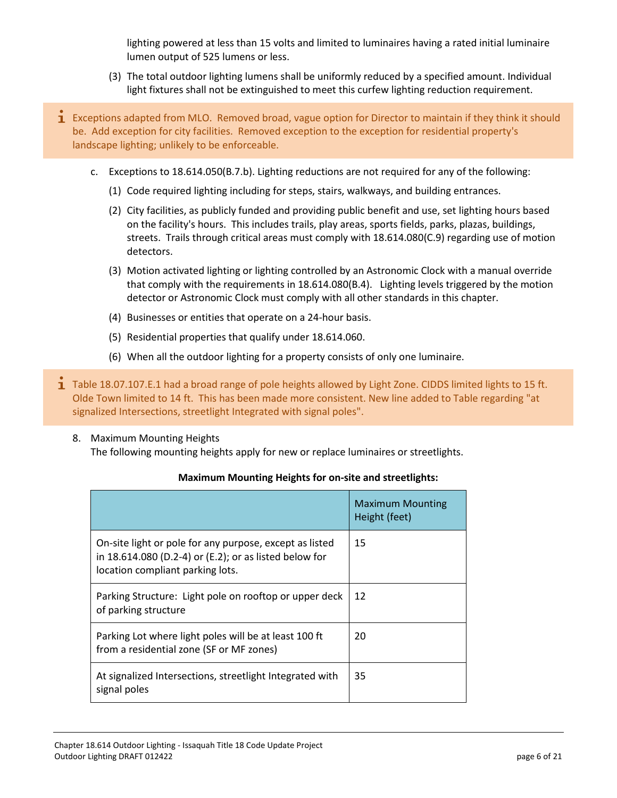lighting powered at less than 15 volts and limited to luminaires having a rated initial luminaire lumen output of 525 lumens or less.

- (3) The total outdoor lighting lumens shall be uniformly reduced by a specified amount. Individual light fixtures shall not be extinguished to meet this curfew lighting reduction requirement.
- $\mathbf i$  Exceptions adapted from MLO. Removed broad, vague option for Director to maintain if they think it should be. Add exception for city facilities. Removed exception to the exception for residential property's landscape lighting; unlikely to be enforceable.
	- c. Exceptions to 18.614.050(B.7.b). Lighting reductions are not required for any of the following:
		- (1) Code required lighting including for steps, stairs, walkways, and building entrances.
		- (2) City facilities, as publicly funded and providing public benefit and use, set lighting hours based on the facility's hours. This includes trails, play areas, sports fields, parks, plazas, buildings, streets. Trails through critical areas must comply with 18.614.080(C.9) regarding use of motion detectors.
		- (3) Motion activated lighting or lighting controlled by an Astronomic Clock with a manual override that comply with the requirements in 18.614.080(B.4). Lighting levels triggered by the motion detector or Astronomic Clock must comply with all other standards in this chapter.
		- (4) Businesses or entities that operate on a 24-hour basis.
		- (5) Residential properties that qualify under 18.614.060.
		- (6) When all the outdoor lighting for a property consists of only one luminaire.
- **T** Table 18.07.107.E.1 had a broad range of pole heights allowed by Light Zone. CIDDS limited lights to 15 ft. Olde Town limited to 14 ft. This has been made more consistent. New line added to Table regarding "at signalized Intersections, streetlight Integrated with signal poles".
	- 8. Maximum Mounting Heights The following mounting heights apply for new or replace luminaires or streetlights.

#### **Maximum Mounting Heights for on-site and streetlights:**

|                                                                                                                                                       | <b>Maximum Mounting</b><br>Height (feet) |
|-------------------------------------------------------------------------------------------------------------------------------------------------------|------------------------------------------|
| On-site light or pole for any purpose, except as listed<br>in 18.614.080 (D.2-4) or (E.2); or as listed below for<br>location compliant parking lots. | 15                                       |
| Parking Structure: Light pole on rooftop or upper deck<br>of parking structure                                                                        | 12                                       |
| Parking Lot where light poles will be at least 100 ft<br>from a residential zone (SF or MF zones)                                                     | 20                                       |
| At signalized Intersections, streetlight Integrated with<br>signal poles                                                                              | 35                                       |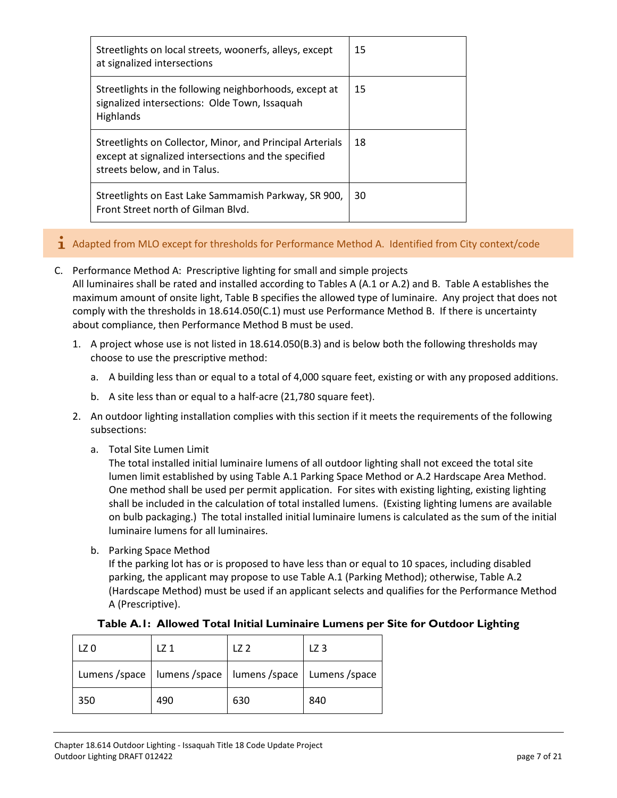| Streetlights on local streets, woonerfs, alleys, except<br>at signalized intersections                                                            | 15 |
|---------------------------------------------------------------------------------------------------------------------------------------------------|----|
| Streetlights in the following neighborhoods, except at<br>signalized intersections: Olde Town, Issaquah<br>Highlands                              | 15 |
| Streetlights on Collector, Minor, and Principal Arterials<br>except at signalized intersections and the specified<br>streets below, and in Talus. | 18 |
| Streetlights on East Lake Sammamish Parkway, SR 900,<br>Front Street north of Gilman Blvd.                                                        | 30 |

- $\mathbf{\dot{1}}$  Adapted from MLO except for thresholds for Performance Method A. Identified from City context/code
- C. Performance Method A: Prescriptive lighting for small and simple projects All luminaires shall be rated and installed according to Tables A (A.1 or A.2) and B. Table A establishes the maximum amount of onsite light, Table B specifies the allowed type of luminaire. Any project that does not comply with the thresholds in 18.614.050(C.1) must use Performance Method B. If there is uncertainty about compliance, then Performance Method B must be used.
	- 1. A project whose use is not listed in 18.614.050(B.3) and is below both the following thresholds may choose to use the prescriptive method:
		- a. A building less than or equal to a total of 4,000 square feet, existing or with any proposed additions.
		- b. A site less than or equal to a half-acre (21,780 square feet).
	- 2. An outdoor lighting installation complies with this section if it meets the requirements of the following subsections:
		- a. Total Site Lumen Limit

The total installed initial luminaire lumens of all outdoor lighting shall not exceed the total site lumen limit established by using Table A.1 Parking Space Method or A.2 Hardscape Area Method. One method shall be used per permit application. For sites with existing lighting, existing lighting shall be included in the calculation of total installed lumens. (Existing lighting lumens are available on bulb packaging.) The total installed initial luminaire lumens is calculated as the sum of the initial luminaire lumens for all luminaires.

b. Parking Space Method

If the parking lot has or is proposed to have less than or equal to 10 spaces, including disabled parking, the applicant may propose to use Table A.1 (Parking Method); otherwise, Table A.2 (Hardscape Method) must be used if an applicant selects and qualifies for the Performance Method A (Prescriptive).

| LZ 0                                                              | . 71 | 72  | LZ 3 |
|-------------------------------------------------------------------|------|-----|------|
| Lumens / space   lumens / space   lumens / space   Lumens / space |      |     |      |
| 350                                                               | 490  | 630 | 840  |

#### **Table A.1: Allowed Total Initial Luminaire Lumens per Site for Outdoor Lighting**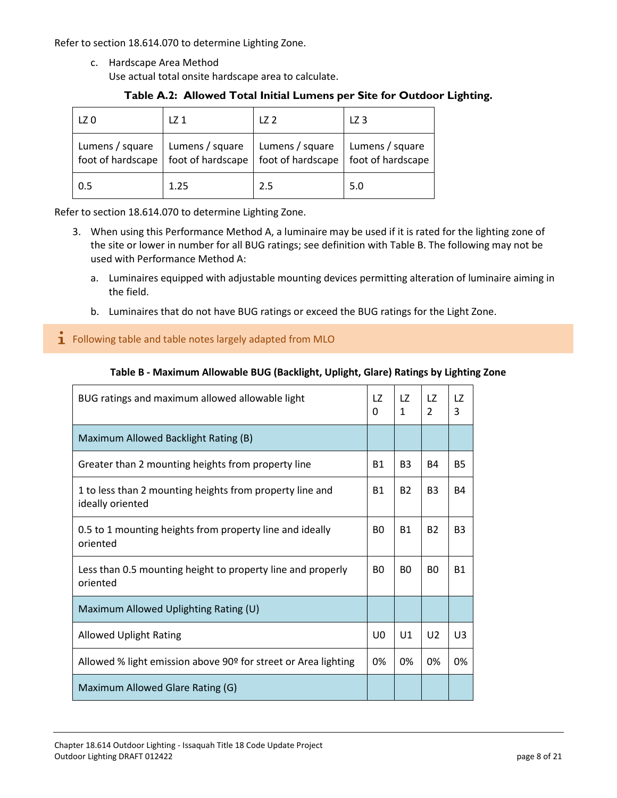Refer to section 18.614.070 to determine Lighting Zone.

c. Hardscape Area Method Use actual total onsite hardscape area to calculate.

#### **Table A.2: Allowed Total Initial Lumens per Site for Outdoor Lighting.**

| LZ 0            | LZ <sub>1</sub> | 172                                                                                                                                  | LZ <sub>3</sub> |
|-----------------|-----------------|--------------------------------------------------------------------------------------------------------------------------------------|-----------------|
| Lumens / square | Lumens / square | Lumens / square<br>$\pm$ foot of hardscape $\parallel$ foot of hardscape $\parallel$ foot of hardscape $\parallel$ foot of hardscape | Lumens / square |
| 0.5             | 1.25            | 2.5                                                                                                                                  | 5.0             |

Refer to section 18.614.070 to determine Lighting Zone.

- 3. When using this Performance Method A, a luminaire may be used if it is rated for the lighting zone of the site or lower in number for all BUG ratings; see definition with Table B. The following may not be used with Performance Method A:
	- a. Luminaires equipped with adjustable mounting devices permitting alteration of luminaire aiming in the field.
	- b. Luminaires that do not have BUG ratings or exceed the BUG ratings for the Light Zone.

### $\mathbf{I}$  Following table and table notes largely adapted from MLO

#### **Table B - Maximum Allowable BUG (Backlight, Uplight, Glare) Ratings by Lighting Zone**

| BUG ratings and maximum allowed allowable light                              | LZ<br>0   | LZ.<br>$\mathbf{1}$ | 17<br>$\overline{2}$ | LZ.<br>3       |
|------------------------------------------------------------------------------|-----------|---------------------|----------------------|----------------|
| Maximum Allowed Backlight Rating (B)                                         |           |                     |                      |                |
| Greater than 2 mounting heights from property line                           | <b>B1</b> | B <sub>3</sub>      | B4                   | <b>B5</b>      |
| 1 to less than 2 mounting heights from property line and<br>ideally oriented | <b>B1</b> | <b>B2</b>           | <b>B3</b>            | <b>B4</b>      |
| 0.5 to 1 mounting heights from property line and ideally<br>oriented         | BO.       | <b>B1</b>           | <b>B2</b>            | B <sub>3</sub> |
| Less than 0.5 mounting height to property line and properly<br>oriented      | B0        | B <sub>0</sub>      | B <sub>0</sub>       | <b>B1</b>      |
| Maximum Allowed Uplighting Rating (U)                                        |           |                     |                      |                |
| <b>Allowed Uplight Rating</b>                                                | U0        | U1                  | U <sub>2</sub>       | UЗ             |
| Allowed % light emission above 90º for street or Area lighting               | 0%        | 0%                  | 0%                   | 0%             |
| Maximum Allowed Glare Rating (G)                                             |           |                     |                      |                |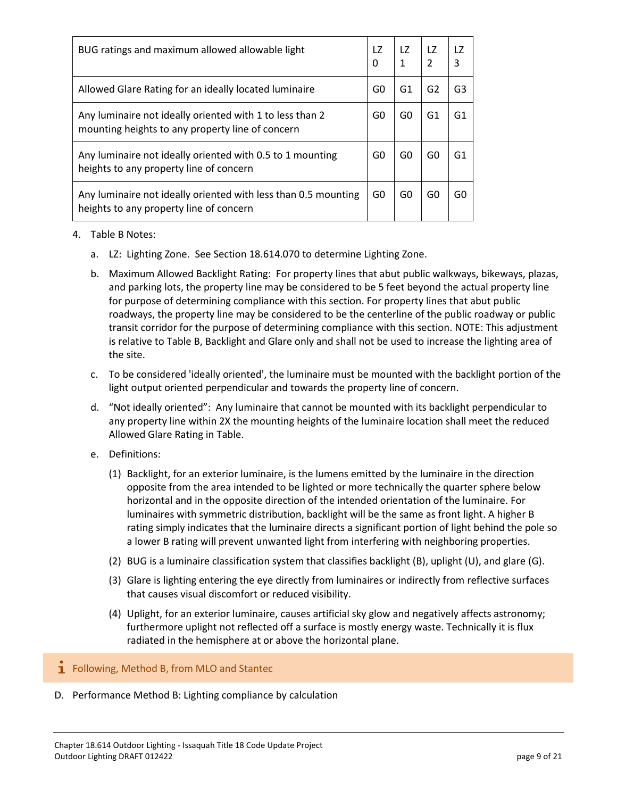| BUG ratings and maximum allowed allowable light                                                              | LZ<br>0 | LZ.<br>$\mathbf{1}$ | LZ.<br>$\overline{\phantom{a}}$ | LZ<br>3 |
|--------------------------------------------------------------------------------------------------------------|---------|---------------------|---------------------------------|---------|
| Allowed Glare Rating for an ideally located luminaire                                                        | G0      | G1                  | G2                              | G3      |
| Any luminaire not ideally oriented with 1 to less than 2<br>mounting heights to any property line of concern | G0      | G0                  | G1                              | G1      |
| Any luminaire not ideally oriented with 0.5 to 1 mounting<br>heights to any property line of concern         | G0      | G0                  | G0                              | G1      |
| Any luminaire not ideally oriented with less than 0.5 mounting<br>heights to any property line of concern    | G0      | G0                  | G0                              | G0      |

#### 4. Table B Notes:

- a. LZ: Lighting Zone. See Section 18.614.070 to determine Lighting Zone.
- b. Maximum Allowed Backlight Rating: For property lines that abut public walkways, bikeways, plazas, and parking lots, the property line may be considered to be 5 feet beyond the actual property line for purpose of determining compliance with this section. For property lines that abut public roadways, the property line may be considered to be the centerline of the public roadway or public transit corridor for the purpose of determining compliance with this section. NOTE: This adjustment is relative to Table B, Backlight and Glare only and shall not be used to increase the lighting area of the site.
- c. To be considered 'ideally oriented', the luminaire must be mounted with the backlight portion of the light output oriented perpendicular and towards the property line of concern.
- d. "Not ideally oriented": Any luminaire that cannot be mounted with its backlight perpendicular to any property line within 2X the mounting heights of the luminaire location shall meet the reduced Allowed Glare Rating in Table.
- e. Definitions:
	- (1) Backlight, for an exterior luminaire, is the lumens emitted by the luminaire in the direction opposite from the area intended to be lighted or more technically the quarter sphere below horizontal and in the opposite direction of the intended orientation of the luminaire. For luminaires with symmetric distribution, backlight will be the same as front light. A higher B rating simply indicates that the luminaire directs a significant portion of light behind the pole so a lower B rating will prevent unwanted light from interfering with neighboring properties.
	- (2) BUG is a luminaire classification system that classifies backlight (B), uplight (U), and glare (G).
	- (3) Glare is lighting entering the eye directly from luminaires or indirectly from reflective surfaces that causes visual discomfort or reduced visibility.
	- (4) Uplight, for an exterior luminaire, causes artificial sky glow and negatively affects astronomy; furthermore uplight not reflected off a surface is mostly energy waste. Technically it is flux radiated in the hemisphere at or above the horizontal plane.

#### **1** Following, Method B, from MLO and Stantec

D. Performance Method B: Lighting compliance by calculation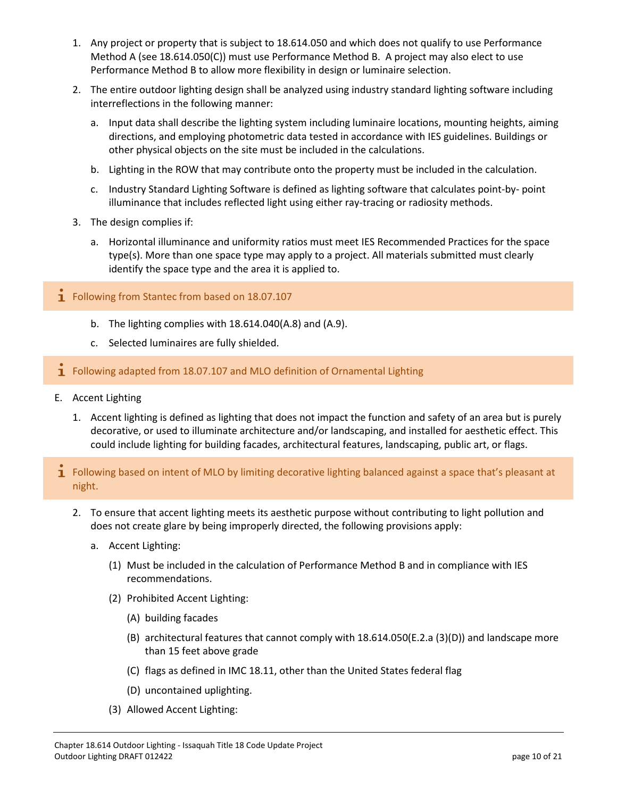- 1. Any project or property that is subject to 18.614.050 and which does not qualify to use Performance Method A (see 18.614.050(C)) must use Performance Method B. A project may also elect to use Performance Method B to allow more flexibility in design or luminaire selection.
- 2. The entire outdoor lighting design shall be analyzed using industry standard lighting software including interreflections in the following manner:
	- a. Input data shall describe the lighting system including luminaire locations, mounting heights, aiming directions, and employing photometric data tested in accordance with IES guidelines. Buildings or other physical objects on the site must be included in the calculations.
	- b. Lighting in the ROW that may contribute onto the property must be included in the calculation.
	- c. Industry Standard Lighting Software is defined as lighting software that calculates point-by- point illuminance that includes reflected light using either ray-tracing or radiosity methods.
- 3. The design complies if:
	- a. Horizontal illuminance and uniformity ratios must meet IES Recommended Practices for the space type(s). More than one space type may apply to a project. All materials submitted must clearly identify the space type and the area it is applied to.
- **1** Following from Stantec from based on 18.07.107
	- b. The lighting complies with 18.614.040(A.8) and (A.9).
	- c. Selected luminaires are fully shielded.
- $\mathbf{\dot{I}}$  Following adapted from 18.07.107 and MLO definition of Ornamental Lighting
- E. Accent Lighting
	- 1. Accent lighting is defined as lighting that does not impact the function and safety of an area but is purely decorative, or used to illuminate architecture and/or landscaping, and installed for aesthetic effect. This could include lighting for building facades, architectural features, landscaping, public art, or flags.
- $\tilde{\mathbf{I}}$  Following based on intent of MLO by limiting decorative lighting balanced against a space that's pleasant at night.
	- 2. To ensure that accent lighting meets its aesthetic purpose without contributing to light pollution and does not create glare by being improperly directed, the following provisions apply:
		- a. Accent Lighting:
			- (1) Must be included in the calculation of Performance Method B and in compliance with IES recommendations.
			- (2) Prohibited Accent Lighting:
				- (A) building facades
				- (B) architectural features that cannot comply with 18.614.050(E.2.a (3)(D)) and landscape more than 15 feet above grade
				- (C) flags as defined in IMC 18.11, other than the United States federal flag
				- (D) uncontained uplighting.
			- (3) Allowed Accent Lighting: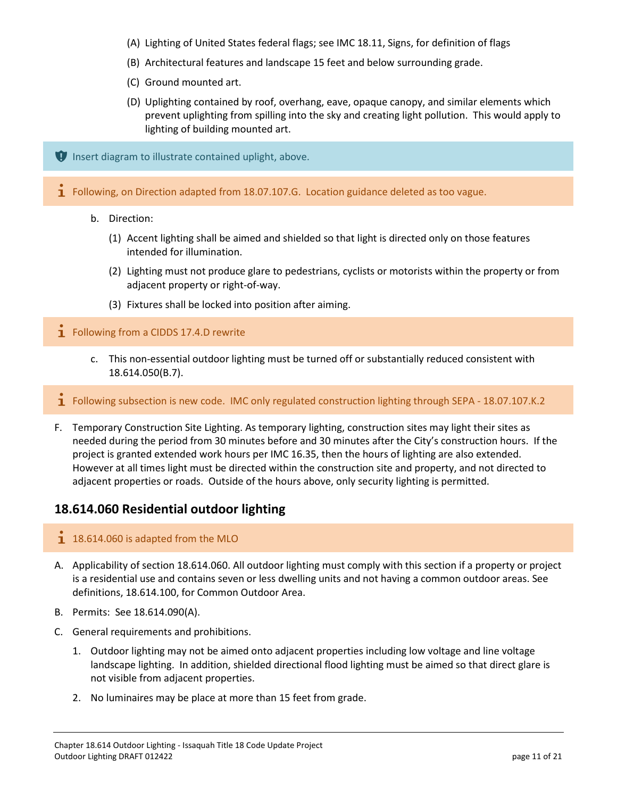- (A) Lighting of United States federal flags; see IMC 18.11, Signs, for definition of flags
- (B) Architectural features and landscape 15 feet and below surrounding grade.
- (C) Ground mounted art.
- (D) Uplighting contained by roof, overhang, eave, opaque canopy, and similar elements which prevent uplighting from spilling into the sky and creating light pollution. This would apply to lighting of building mounted art.

 $\P$  Insert diagram to illustrate contained uplight, above.

**I** Following, on Direction adapted from 18.07.107.G. Location guidance deleted as too vague.

- b. Direction:
	- (1) Accent lighting shall be aimed and shielded so that light is directed only on those features intended for illumination.
	- (2) Lighting must not produce glare to pedestrians, cyclists or motorists within the property or from adjacent property or right-of-way.
	- (3) Fixtures shall be locked into position after aiming.

**1** Following from a CIDDS 17.4.D rewrite

- c. This non-essential outdoor lighting must be turned off or substantially reduced consistent with 18.614.050(B.7).
- **T** Following subsection is new code. IMC only regulated construction lighting through SEPA 18.07.107.K.2
- F. Temporary Construction Site Lighting. As temporary lighting, construction sites may light their sites as needed during the period from 30 minutes before and 30 minutes after the City's construction hours. If the project is granted extended work hours per IMC 16.35, then the hours of lighting are also extended. However at all times light must be directed within the construction site and property, and not directed to adjacent properties or roads. Outside of the hours above, only security lighting is permitted.

### **18.614.060 Residential outdoor lighting**

#### $18.614.060$  is adapted from the MLO

- A. Applicability of section 18.614.060. All outdoor lighting must comply with this section if a property or project is a residential use and contains seven or less dwelling units and not having a common outdoor areas. See definitions, 18.614.100, for Common Outdoor Area.
- B. Permits: See 18.614.090(A).
- C. General requirements and prohibitions.
	- 1. Outdoor lighting may not be aimed onto adjacent properties including low voltage and line voltage landscape lighting. In addition, shielded directional flood lighting must be aimed so that direct glare is not visible from adjacent properties.
	- 2. No luminaires may be place at more than 15 feet from grade.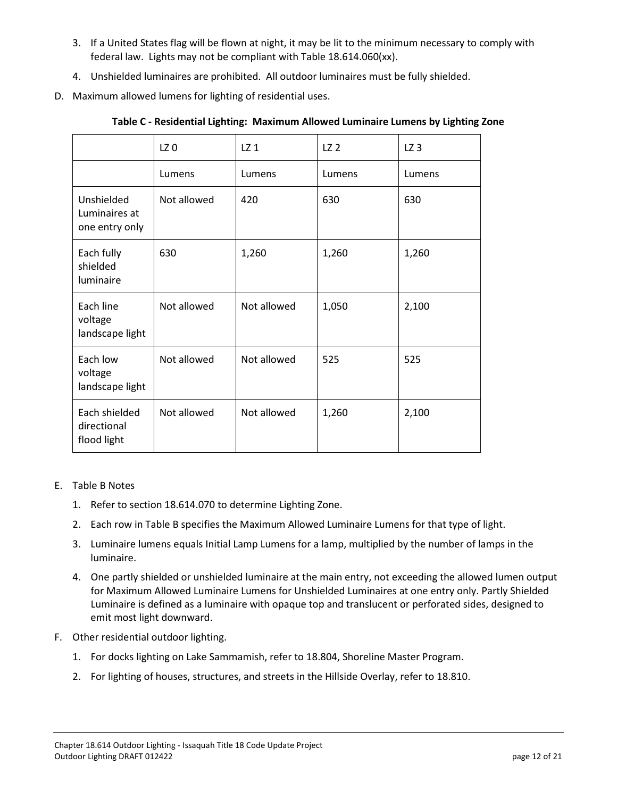- 3. If a United States flag will be flown at night, it may be lit to the minimum necessary to comply with federal law. Lights may not be compliant with Table 18.614.060(xx).
- 4. Unshielded luminaires are prohibited. All outdoor luminaires must be fully shielded.
- D. Maximum allowed lumens for lighting of residential uses.

|                                               | LZ <sub>0</sub> | LZ <sub>1</sub> | LZ <sub>2</sub> | LZ <sub>3</sub> |
|-----------------------------------------------|-----------------|-----------------|-----------------|-----------------|
|                                               | Lumens          | Lumens          | Lumens          | Lumens          |
| Unshielded<br>Luminaires at<br>one entry only | Not allowed     | 420             | 630             | 630             |
| Each fully<br>shielded<br>luminaire           | 630             | 1,260           | 1,260           | 1,260           |
| Each line<br>voltage<br>landscape light       | Not allowed     | Not allowed     | 1,050           | 2,100           |
| Each low<br>voltage<br>landscape light        | Not allowed     | Not allowed     | 525             | 525             |
| Each shielded<br>directional<br>flood light   | Not allowed     | Not allowed     | 1,260           | 2,100           |

**Table C - Residential Lighting: Maximum Allowed Luminaire Lumens by Lighting Zone**

#### E. Table B Notes

- 1. Refer to section 18.614.070 to determine Lighting Zone.
- 2. Each row in Table B specifies the Maximum Allowed Luminaire Lumens for that type of light.
- 3. Luminaire lumens equals Initial Lamp Lumens for a lamp, multiplied by the number of lamps in the luminaire.
- 4. One partly shielded or unshielded luminaire at the main entry, not exceeding the allowed lumen output for Maximum Allowed Luminaire Lumens for Unshielded Luminaires at one entry only. Partly Shielded Luminaire is defined as a luminaire with opaque top and translucent or perforated sides, designed to emit most light downward.
- F. Other residential outdoor lighting.
	- 1. For docks lighting on Lake Sammamish, refer to 18.804, Shoreline Master Program.
	- 2. For lighting of houses, structures, and streets in the Hillside Overlay, refer to 18.810.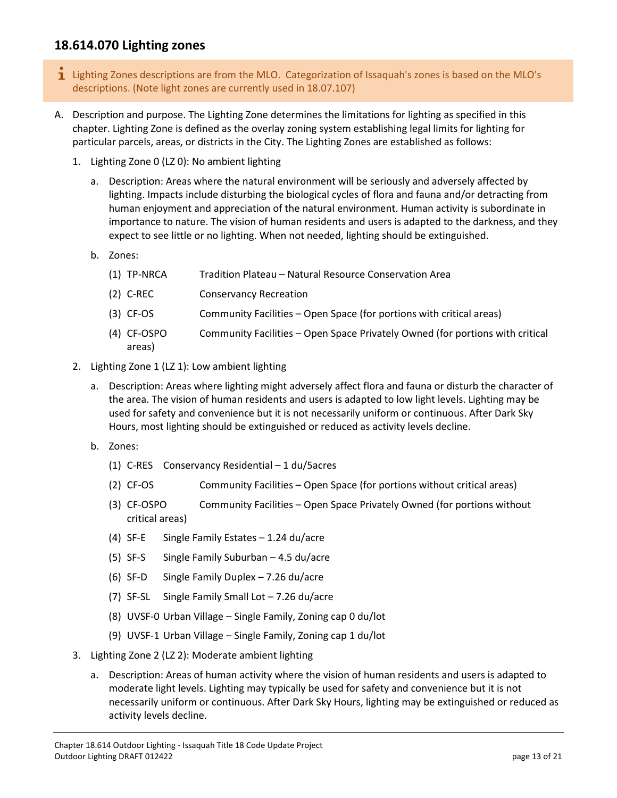# **18.614.070 Lighting zones**

- $\mathbf i$  Lighting Zones descriptions are from the MLO. Categorization of Issaquah's zones is based on the MLO's descriptions. (Note light zones are currently used in 18.07.107)
- A. Description and purpose. The Lighting Zone determines the limitations for lighting as specified in this chapter. Lighting Zone is defined as the overlay zoning system establishing legal limits for lighting for particular parcels, areas, or districts in the City. The Lighting Zones are established as follows:
	- 1. Lighting Zone 0 (LZ 0): No ambient lighting
		- a. Description: Areas where the natural environment will be seriously and adversely affected by lighting. Impacts include disturbing the biological cycles of flora and fauna and/or detracting from human enjoyment and appreciation of the natural environment. Human activity is subordinate in importance to nature. The vision of human residents and users is adapted to the darkness, and they expect to see little or no lighting. When not needed, lighting should be extinguished.
		- b. Zones:
			- (1) TP-NRCA Tradition Plateau Natural Resource Conservation Area
			- (2) C-REC Conservancy Recreation
			- (3) CF-OS Community Facilities Open Space (for portions with critical areas)
			- (4) CF-OSPO Community Facilities Open Space Privately Owned (for portions with critical areas)
	- 2. Lighting Zone 1 (LZ 1): Low ambient lighting
		- a. Description: Areas where lighting might adversely affect flora and fauna or disturb the character of the area. The vision of human residents and users is adapted to low light levels. Lighting may be used for safety and convenience but it is not necessarily uniform or continuous. After Dark Sky Hours, most lighting should be extinguished or reduced as activity levels decline.
		- b. Zones:
			- (1) C-RES Conservancy Residential 1 du/5acres
			- (2) CF-OS Community Facilities Open Space (for portions without critical areas)
			- (3) CF-OSPO Community Facilities Open Space Privately Owned (for portions without critical areas)
			- (4) SF-E Single Family Estates 1.24 du/acre
			- (5) SF-S Single Family Suburban 4.5 du/acre
			- (6) SF-D Single Family Duplex 7.26 du/acre
			- (7) SF-SL Single Family Small Lot 7.26 du/acre
			- (8) UVSF-0 Urban Village Single Family, Zoning cap 0 du/lot
			- (9) UVSF-1 Urban Village Single Family, Zoning cap 1 du/lot
	- 3. Lighting Zone 2 (LZ 2): Moderate ambient lighting
		- a. Description: Areas of human activity where the vision of human residents and users is adapted to moderate light levels. Lighting may typically be used for safety and convenience but it is not necessarily uniform or continuous. After Dark Sky Hours, lighting may be extinguished or reduced as activity levels decline.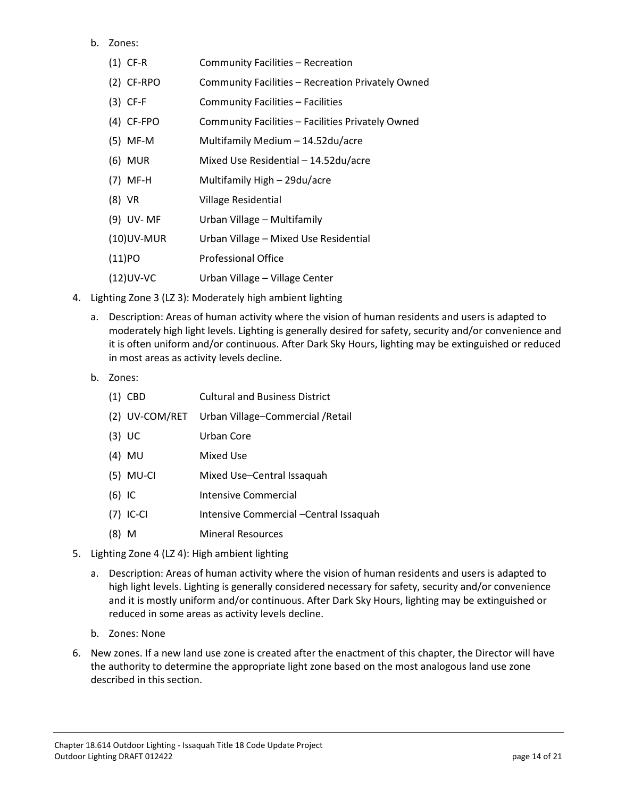#### b. Zones:

| $(1)$ CF-R    | Community Facilities - Recreation                 |
|---------------|---------------------------------------------------|
| $(2)$ CF-RPO  | Community Facilities - Recreation Privately Owned |
| $(3)$ CF-F    | Community Facilities – Facilities                 |
| $(4)$ CF-FPO  | Community Facilities - Facilities Privately Owned |
| $(5)$ MF-M    | Multifamily Medium - 14.52du/acre                 |
| (6) MUR       | Mixed Use Residential - 14.52du/acre              |
| $(7)$ MF-H    | Multifamily High - 29du/acre                      |
| (8) VR        | Village Residential                               |
| (9) UV-MF     | Urban Village - Multifamily                       |
| $(10)$ UV-MUR | Urban Village - Mixed Use Residential             |
| $(11)$ PO     | <b>Professional Office</b>                        |
| $(12)$ UV-VC  | Urban Village - Village Center                    |

- 4. Lighting Zone 3 (LZ 3): Moderately high ambient lighting
	- a. Description: Areas of human activity where the vision of human residents and users is adapted to moderately high light levels. Lighting is generally desired for safety, security and/or convenience and it is often uniform and/or continuous. After Dark Sky Hours, lighting may be extinguished or reduced in most areas as activity levels decline.
	- b. Zones:

- (2) UV-COM/RET Urban Village–Commercial /Retail
- (3) UC Urban Core
- (4) MU Mixed Use
- (5) MU-CI Mixed Use–Central Issaquah
- (6) IC Intensive Commercial
- (7) IC-CI Intensive Commercial –Central Issaquah
- (8) M Mineral Resources
- 5. Lighting Zone 4 (LZ 4): High ambient lighting
	- a. Description: Areas of human activity where the vision of human residents and users is adapted to high light levels. Lighting is generally considered necessary for safety, security and/or convenience and it is mostly uniform and/or continuous. After Dark Sky Hours, lighting may be extinguished or reduced in some areas as activity levels decline.
	- b. Zones: None
- 6. New zones. If a new land use zone is created after the enactment of this chapter, the Director will have the authority to determine the appropriate light zone based on the most analogous land use zone described in this section.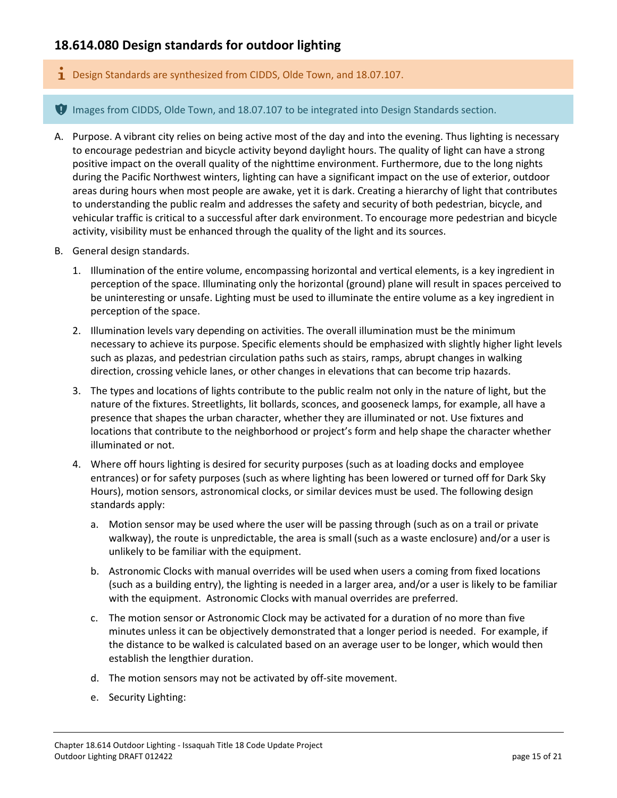# **18.614.080 Design standards for outdoor lighting**

Design Standards are synthesized from CIDDS, Olde Town, and 18.07.107.

**I** Images from CIDDS, Olde Town, and 18.07.107 to be integrated into Design Standards section.

- A. Purpose. A vibrant city relies on being active most of the day and into the evening. Thus lighting is necessary to encourage pedestrian and bicycle activity beyond daylight hours. The quality of light can have a strong positive impact on the overall quality of the nighttime environment. Furthermore, due to the long nights during the Pacific Northwest winters, lighting can have a significant impact on the use of exterior, outdoor areas during hours when most people are awake, yet it is dark. Creating a hierarchy of light that contributes to understanding the public realm and addresses the safety and security of both pedestrian, bicycle, and vehicular traffic is critical to a successful after dark environment. To encourage more pedestrian and bicycle activity, visibility must be enhanced through the quality of the light and its sources.
- B. General design standards.
	- 1. Illumination of the entire volume, encompassing horizontal and vertical elements, is a key ingredient in perception of the space. Illuminating only the horizontal (ground) plane will result in spaces perceived to be uninteresting or unsafe. Lighting must be used to illuminate the entire volume as a key ingredient in perception of the space.
	- 2. Illumination levels vary depending on activities. The overall illumination must be the minimum necessary to achieve its purpose. Specific elements should be emphasized with slightly higher light levels such as plazas, and pedestrian circulation paths such as stairs, ramps, abrupt changes in walking direction, crossing vehicle lanes, or other changes in elevations that can become trip hazards.
	- 3. The types and locations of lights contribute to the public realm not only in the nature of light, but the nature of the fixtures. Streetlights, lit bollards, sconces, and gooseneck lamps, for example, all have a presence that shapes the urban character, whether they are illuminated or not. Use fixtures and locations that contribute to the neighborhood or project's form and help shape the character whether illuminated or not.
	- 4. Where off hours lighting is desired for security purposes (such as at loading docks and employee entrances) or for safety purposes (such as where lighting has been lowered or turned off for Dark Sky Hours), motion sensors, astronomical clocks, or similar devices must be used. The following design standards apply:
		- a. Motion sensor may be used where the user will be passing through (such as on a trail or private walkway), the route is unpredictable, the area is small (such as a waste enclosure) and/or a user is unlikely to be familiar with the equipment.
		- b. Astronomic Clocks with manual overrides will be used when users a coming from fixed locations (such as a building entry), the lighting is needed in a larger area, and/or a user is likely to be familiar with the equipment. Astronomic Clocks with manual overrides are preferred.
		- c. The motion sensor or Astronomic Clock may be activated for a duration of no more than five minutes unless it can be objectively demonstrated that a longer period is needed. For example, if the distance to be walked is calculated based on an average user to be longer, which would then establish the lengthier duration.
		- d. The motion sensors may not be activated by off-site movement.
		- e. Security Lighting: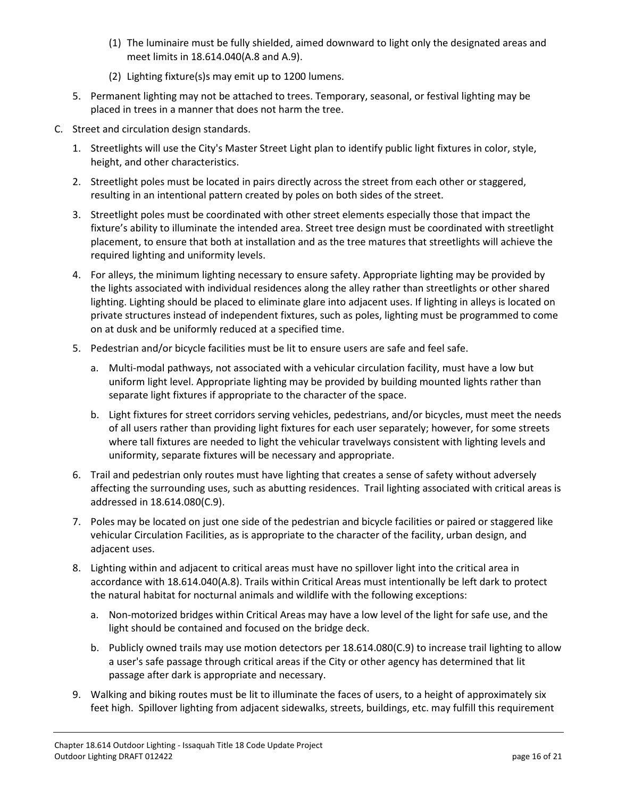- (1) The luminaire must be fully shielded, aimed downward to light only the designated areas and meet limits in 18.614.040(A.8 and A.9).
- (2) Lighting fixture(s)s may emit up to 1200 lumens.
- 5. Permanent lighting may not be attached to trees. Temporary, seasonal, or festival lighting may be placed in trees in a manner that does not harm the tree.
- C. Street and circulation design standards.
	- 1. Streetlights will use the City's Master Street Light plan to identify public light fixtures in color, style, height, and other characteristics.
	- 2. Streetlight poles must be located in pairs directly across the street from each other or staggered, resulting in an intentional pattern created by poles on both sides of the street.
	- 3. Streetlight poles must be coordinated with other street elements especially those that impact the fixture's ability to illuminate the intended area. Street tree design must be coordinated with streetlight placement, to ensure that both at installation and as the tree matures that streetlights will achieve the required lighting and uniformity levels.
	- 4. For alleys, the minimum lighting necessary to ensure safety. Appropriate lighting may be provided by the lights associated with individual residences along the alley rather than streetlights or other shared lighting. Lighting should be placed to eliminate glare into adjacent uses. If lighting in alleys is located on private structures instead of independent fixtures, such as poles, lighting must be programmed to come on at dusk and be uniformly reduced at a specified time.
	- 5. Pedestrian and/or bicycle facilities must be lit to ensure users are safe and feel safe.
		- a. Multi-modal pathways, not associated with a vehicular circulation facility, must have a low but uniform light level. Appropriate lighting may be provided by building mounted lights rather than separate light fixtures if appropriate to the character of the space.
		- b. Light fixtures for street corridors serving vehicles, pedestrians, and/or bicycles, must meet the needs of all users rather than providing light fixtures for each user separately; however, for some streets where tall fixtures are needed to light the vehicular travelways consistent with lighting levels and uniformity, separate fixtures will be necessary and appropriate.
	- 6. Trail and pedestrian only routes must have lighting that creates a sense of safety without adversely affecting the surrounding uses, such as abutting residences. Trail lighting associated with critical areas is addressed in 18.614.080(C.9).
	- 7. Poles may be located on just one side of the pedestrian and bicycle facilities or paired or staggered like vehicular Circulation Facilities, as is appropriate to the character of the facility, urban design, and adjacent uses.
	- 8. Lighting within and adjacent to critical areas must have no spillover light into the critical area in accordance with 18.614.040(A.8). Trails within Critical Areas must intentionally be left dark to protect the natural habitat for nocturnal animals and wildlife with the following exceptions:
		- a. Non-motorized bridges within Critical Areas may have a low level of the light for safe use, and the light should be contained and focused on the bridge deck.
		- b. Publicly owned trails may use motion detectors per 18.614.080(C.9) to increase trail lighting to allow a user's safe passage through critical areas if the City or other agency has determined that lit passage after dark is appropriate and necessary.
	- 9. Walking and biking routes must be lit to illuminate the faces of users, to a height of approximately six feet high. Spillover lighting from adjacent sidewalks, streets, buildings, etc. may fulfill this requirement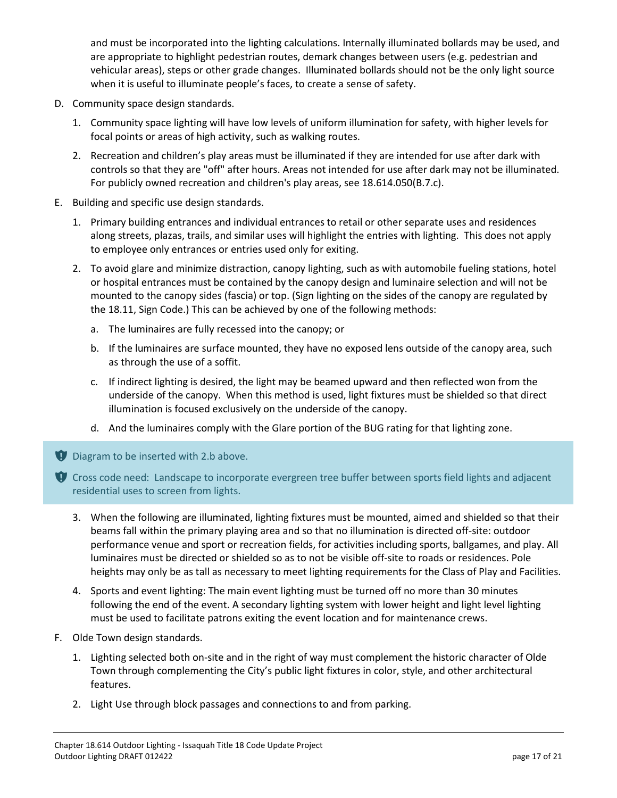and must be incorporated into the lighting calculations. Internally illuminated bollards may be used, and are appropriate to highlight pedestrian routes, demark changes between users (e.g. pedestrian and vehicular areas), steps or other grade changes. Illuminated bollards should not be the only light source when it is useful to illuminate people's faces, to create a sense of safety.

- D. Community space design standards.
	- 1. Community space lighting will have low levels of uniform illumination for safety, with higher levels for focal points or areas of high activity, such as walking routes.
	- 2. Recreation and children's play areas must be illuminated if they are intended for use after dark with controls so that they are "off" after hours. Areas not intended for use after dark may not be illuminated. For publicly owned recreation and children's play areas, see 18.614.050(B.7.c).
- E. Building and specific use design standards.
	- 1. Primary building entrances and individual entrances to retail or other separate uses and residences along streets, plazas, trails, and similar uses will highlight the entries with lighting. This does not apply to employee only entrances or entries used only for exiting.
	- 2. To avoid glare and minimize distraction, canopy lighting, such as with automobile fueling stations, hotel or hospital entrances must be contained by the canopy design and luminaire selection and will not be mounted to the canopy sides (fascia) or top. (Sign lighting on the sides of the canopy are regulated by the 18.11, Sign Code.) This can be achieved by one of the following methods:
		- a. The luminaires are fully recessed into the canopy; or
		- b. If the luminaires are surface mounted, they have no exposed lens outside of the canopy area, such as through the use of a soffit.
		- c. If indirect lighting is desired, the light may be beamed upward and then reflected won from the underside of the canopy. When this method is used, light fixtures must be shielded so that direct illumination is focused exclusively on the underside of the canopy.
		- d. And the luminaires comply with the Glare portion of the BUG rating for that lighting zone.
- Diagram to be inserted with 2.b above.
- $\bullet$  Cross code need: Landscape to incorporate evergreen tree buffer between sports field lights and adjacent residential uses to screen from lights.
	- 3. When the following are illuminated, lighting fixtures must be mounted, aimed and shielded so that their beams fall within the primary playing area and so that no illumination is directed off-site: outdoor performance venue and sport or recreation fields, for activities including sports, ballgames, and play. All luminaires must be directed or shielded so as to not be visible off-site to roads or residences. Pole heights may only be as tall as necessary to meet lighting requirements for the Class of Play and Facilities.
	- 4. Sports and event lighting: The main event lighting must be turned off no more than 30 minutes following the end of the event. A secondary lighting system with lower height and light level lighting must be used to facilitate patrons exiting the event location and for maintenance crews.
- F. Olde Town design standards.
	- 1. Lighting selected both on-site and in the right of way must complement the historic character of Olde Town through complementing the City's public light fixtures in color, style, and other architectural features.
	- 2. Light Use through block passages and connections to and from parking.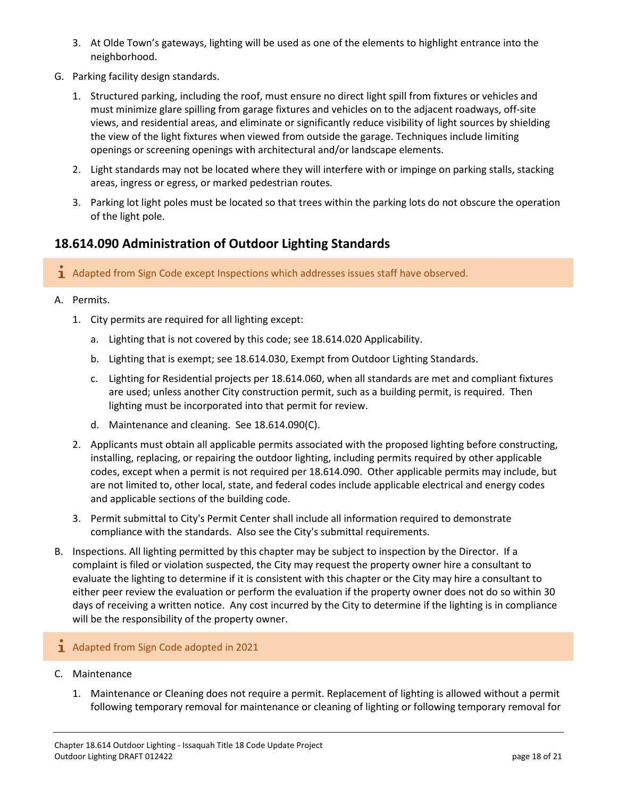- 3. At Olde Town's gateways, lighting will be used as one of the elements to highlight entrance into the neighborhood.
- G. Parking facility design standards.
	- 1. Structured parking, including the roof, must ensure no direct light spill from fixtures or vehicles and must minimize glare spilling from garage fixtures and vehicles on to the adjacent roadways, off-site views, and residential areas, and eliminate or significantly reduce visibility of light sources by shielding the view of the light fixtures when viewed from outside the garage. Techniques include limiting openings or screening openings with architectural and/or landscape elements.
	- 2. Light standards may not be located where they will interfere with or impinge on parking stalls, stacking areas, ingress or egress, or marked pedestrian routes.
	- 3. Parking lot light poles must be located so that trees within the parking lots do not obscure the operation of the light pole.

# **18.614.090 Administration of Outdoor Lighting Standards**

- 1 Adapted from Sign Code except Inspections which addresses issues staff have observed.
- A. Permits.
	- 1. City permits are required for all lighting except:
		- a. Lighting that is not covered by this code; see 18.614.020 Applicability.
		- b. Lighting that is exempt; see 18.614.030, Exempt from Outdoor Lighting Standards.
		- c. Lighting for Residential projects per 18.614.060, when all standards are met and compliant fixtures are used; unless another City construction permit, such as a building permit, is required. Then lighting must be incorporated into that permit for review.
		- d. Maintenance and cleaning. See 18.614.090(C).
	- 2. Applicants must obtain all applicable permits associated with the proposed lighting before constructing, installing, replacing, or repairing the outdoor lighting, including permits required by other applicable codes, except when a permit is not required per 18.614.090. Other applicable permits may include, but are not limited to, other local, state, and federal codes include applicable electrical and energy codes and applicable sections of the building code.
	- 3. Permit submittal to City's Permit Center shall include all information required to demonstrate compliance with the standards. Also see the City's submittal requirements.
- B. Inspections. All lighting permitted by this chapter may be subject to inspection by the Director. If a complaint is filed or violation suspected, the City may request the property owner hire a consultant to evaluate the lighting to determine if it is consistent with this chapter or the City may hire a consultant to either peer review the evaluation or perform the evaluation if the property owner does not do so within 30 days of receiving a written notice. Any cost incurred by the City to determine if the lighting is in compliance will be the responsibility of the property owner.
- 1 Adapted from Sign Code adopted in 2021
- C. Maintenance
	- 1. Maintenance or Cleaning does not require a permit. Replacement of lighting is allowed without a permit following temporary removal for maintenance or cleaning of lighting or following temporary removal for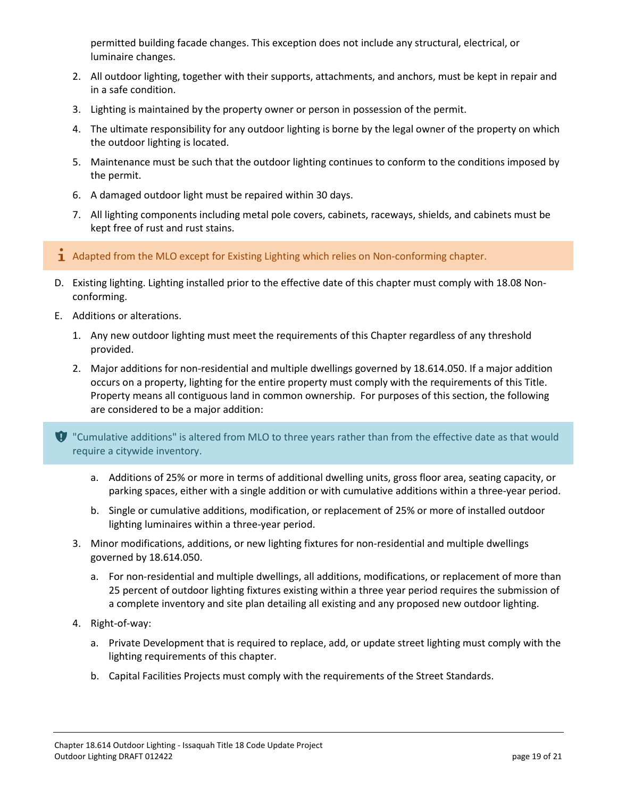permitted building facade changes. This exception does not include any structural, electrical, or luminaire changes.

- 2. All outdoor lighting, together with their supports, attachments, and anchors, must be kept in repair and in a safe condition.
- 3. Lighting is maintained by the property owner or person in possession of the permit.
- 4. The ultimate responsibility for any outdoor lighting is borne by the legal owner of the property on which the outdoor lighting is located.
- 5. Maintenance must be such that the outdoor lighting continues to conform to the conditions imposed by the permit.
- 6. A damaged outdoor light must be repaired within 30 days.
- 7. All lighting components including metal pole covers, cabinets, raceways, shields, and cabinets must be kept free of rust and rust stains.
- $\overline{1}$  Adapted from the MLO except for Existing Lighting which relies on Non-conforming chapter.
- D. Existing lighting. Lighting installed prior to the effective date of this chapter must comply with 18.08 Nonconforming.
- E. Additions or alterations.
	- 1. Any new outdoor lighting must meet the requirements of this Chapter regardless of any threshold provided.
	- 2. Major additions for non-residential and multiple dwellings governed by 18.614.050. If a major addition occurs on a property, lighting for the entire property must comply with the requirements of this Title. Property means all contiguous land in common ownership. For purposes of this section, the following are considered to be a major addition:

**U** "Cumulative additions" is altered from MLO to three years rather than from the effective date as that would require a citywide inventory.

- a. Additions of 25% or more in terms of additional dwelling units, gross floor area, seating capacity, or parking spaces, either with a single addition or with cumulative additions within a three-year period.
- b. Single or cumulative additions, modification, or replacement of 25% or more of installed outdoor lighting luminaires within a three-year period.
- 3. Minor modifications, additions, or new lighting fixtures for non-residential and multiple dwellings governed by 18.614.050.
	- a. For non-residential and multiple dwellings, all additions, modifications, or replacement of more than 25 percent of outdoor lighting fixtures existing within a three year period requires the submission of a complete inventory and site plan detailing all existing and any proposed new outdoor lighting.
- 4. Right-of-way:
	- a. Private Development that is required to replace, add, or update street lighting must comply with the lighting requirements of this chapter.
	- b. Capital Facilities Projects must comply with the requirements of the Street Standards.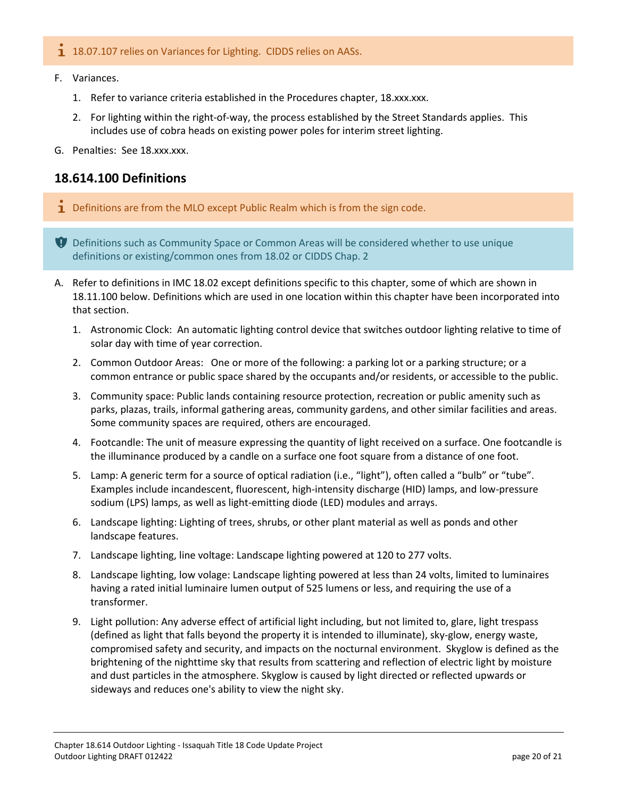#### 1 18.07.107 relies on Variances for Lighting. CIDDS relies on AASs.

- F. Variances.
	- 1. Refer to variance criteria established in the Procedures chapter, 18.xxx.xxx.
	- 2. For lighting within the right-of-way, the process established by the Street Standards applies. This includes use of cobra heads on existing power poles for interim street lighting.
- G. Penalties: See 18.xxx.xxx.

## **18.614.100 Definitions**

 $\mathbf 1$  Definitions are from the MLO except Public Realm which is from the sign code.

**D** Definitions such as Community Space or Common Areas will be considered whether to use unique definitions or existing/common ones from 18.02 or CIDDS Chap. 2

- A. Refer to definitions in IMC 18.02 except definitions specific to this chapter, some of which are shown in 18.11.100 below. Definitions which are used in one location within this chapter have been incorporated into that section.
	- 1. Astronomic Clock: An automatic lighting control device that switches outdoor lighting relative to time of solar day with time of year correction.
	- 2. Common Outdoor Areas: One or more of the following: a parking lot or a parking structure; or a common entrance or public space shared by the occupants and/or residents, or accessible to the public.
	- 3. Community space: Public lands containing resource protection, recreation or public amenity such as parks, plazas, trails, informal gathering areas, community gardens, and other similar facilities and areas. Some community spaces are required, others are encouraged.
	- 4. Footcandle: The unit of measure expressing the quantity of light received on a surface. One footcandle is the illuminance produced by a candle on a surface one foot square from a distance of one foot.
	- 5. Lamp: A generic term for a source of optical radiation (i.e., "light"), often called a "bulb" or "tube". Examples include incandescent, fluorescent, high-intensity discharge (HID) lamps, and low-pressure sodium (LPS) lamps, as well as light-emitting diode (LED) modules and arrays.
	- 6. Landscape lighting: Lighting of trees, shrubs, or other plant material as well as ponds and other landscape features.
	- 7. Landscape lighting, line voltage: Landscape lighting powered at 120 to 277 volts.
	- 8. Landscape lighting, low volage: Landscape lighting powered at less than 24 volts, limited to luminaires having a rated initial luminaire lumen output of 525 lumens or less, and requiring the use of a transformer.
	- 9. Light pollution: Any adverse effect of artificial light including, but not limited to, glare, light trespass (defined as light that falls beyond the property it is intended to illuminate), sky-glow, energy waste, compromised safety and security, and impacts on the nocturnal environment. Skyglow is defined as the brightening of the nighttime sky that results from scattering and reflection of electric light by moisture and dust particles in the atmosphere. Skyglow is caused by light directed or reflected upwards or sideways and reduces one's ability to view the night sky.